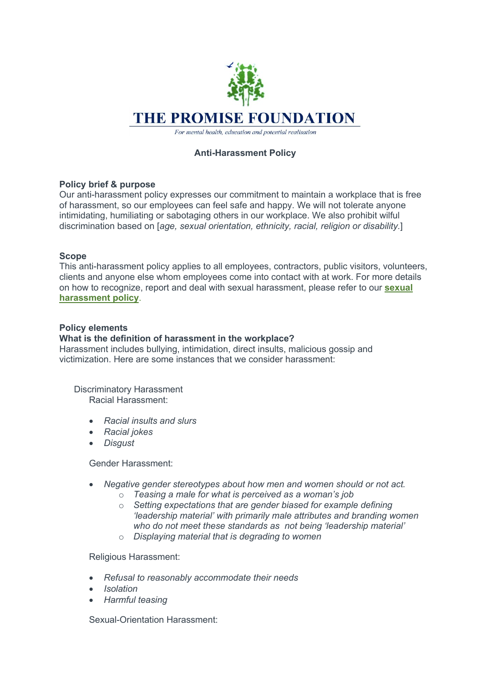

For mental health, education and potential realisation

# **Anti-Harassment Policy**

# **Policy brief & purpose**

Our anti-harassment policy expresses our commitment to maintain a workplace that is free of harassment, so our employees can feel safe and happy. We will not tolerate anyone intimidating, humiliating or sabotaging others in our workplace. We also prohibit wilful discrimination based on [*age, sexual orientation, ethnicity, racial, religion or disability.*]

# **Scope**

This anti-harassment policy applies to all employees, contractors, public visitors, volunteers, clients and anyone else whom employees come into contact with at work. For more details on how to recognize, report and deal with sexual harassment, please refer to our **sexual harassment policy**.

# **Policy elements**

# **What is the definition of harassment in the workplace?**

Harassment includes bullying, intimidation, direct insults, malicious gossip and victimization. Here are some instances that we consider harassment:

Discriminatory Harassment Racial Harassment:

- *Racial insults and slurs*
- *Racial jokes*
- *Disgust*

Gender Harassment:

- *Negative gender stereotypes about how men and women should or not act.*
	- o *Teasing a male for what is perceived as a woman's job*
	- o *Setting expectations that are gender biased for example defining 'leadership material' with primarily male attributes and branding women who do not meet these standards as not being 'leadership material'*
	- o *Displaying material that is degrading to women*

Religious Harassment:

- *Refusal to reasonably accommodate their needs*
- *Isolation*
- *Harmful teasing*

Sexual-Orientation Harassment: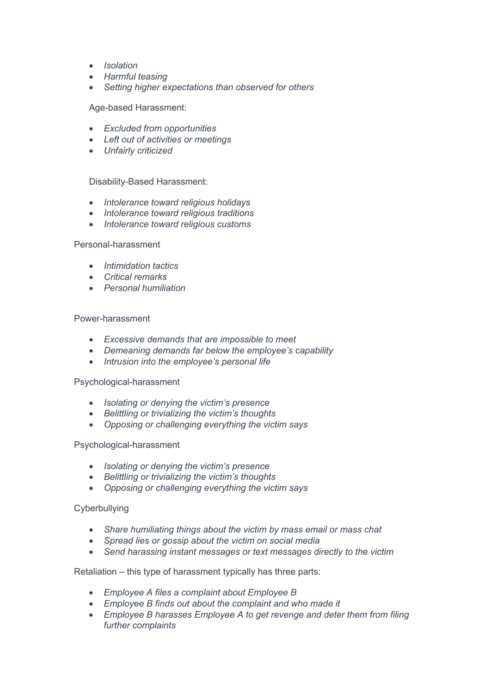- *Isolation*
- *Harmful teasing*
- *Setting higher expectations than observed for others*

Age-based Harassment:

- *Excluded from opportunities*
- *Left out of activities or meetings*
- *Unfairly criticized*

Disability-Based Harassment:

- *Intolerance toward religious holidays*
- *Intolerance toward religious traditions*
- *Intolerance toward religious customs*

#### Personal-harassment

- *Intimidation tactics*
- *Critical remarks*
- *Personal humiliation*

#### Power-harassment

- *Excessive demands that are impossible to meet*
- *Demeaning demands far below the employee's capability*
- *Intrusion into the employee's personal life*

#### Psychological-harassment

- *Isolating or denying the victim's presence*
- *Belittling or trivializing the victim's thoughts*
- *Opposing or challenging everything the victim says*

#### Psychological-harassment

- *Isolating or denying the victim's presence*
- *Belittling or trivializing the victim's thoughts*
- *Opposing or challenging everything the victim says*

#### Cyberbullying

- *Share humiliating things about the victim by mass email or mass chat*
- *Spread lies or gossip about the victim on social media*
- *Send harassing instant messages or text messages directly to the victim*

Retaliation – this type of harassment typically has three parts:

- *Employee A files a complaint about Employee B*
- *Employee B finds out about the complaint and who made it*
- *Employee B harasses Employee A to get revenge and deter them from filing further complaints*